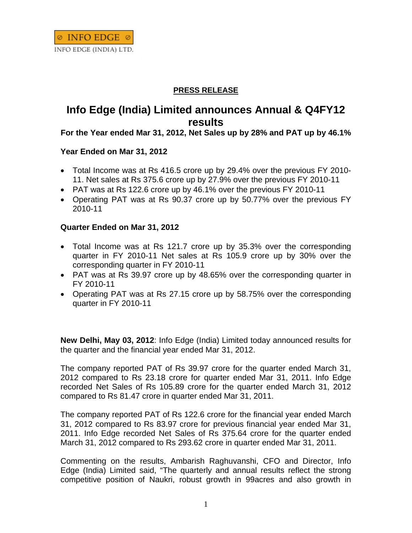## **PRESS RELEASE**

# **Info Edge (India) Limited announces Annual & Q4FY12 results**

### **For the Year ended Mar 31, 2012, Net Sales up by 28% and PAT up by 46.1%**

#### **Year Ended on Mar 31, 2012**

- Total Income was at Rs 416.5 crore up by 29.4% over the previous FY 2010- 11. Net sales at Rs 375.6 crore up by 27.9% over the previous FY 2010-11
- PAT was at Rs 122.6 crore up by 46.1% over the previous FY 2010-11
- Operating PAT was at Rs 90.37 crore up by 50.77% over the previous FY 2010-11

#### **Quarter Ended on Mar 31, 2012**

- Total Income was at Rs 121.7 crore up by 35.3% over the corresponding quarter in FY 2010-11 Net sales at Rs 105.9 crore up by 30% over the corresponding quarter in FY 2010-11
- PAT was at Rs 39.97 crore up by 48.65% over the corresponding quarter in FY 2010-11
- Operating PAT was at Rs 27.15 crore up by 58.75% over the corresponding quarter in FY 2010-11

**New Delhi, May 03, 2012**: Info Edge (India) Limited today announced results for the quarter and the financial year ended Mar 31, 2012.

The company reported PAT of Rs 39.97 crore for the quarter ended March 31, 2012 compared to Rs 23.18 crore for quarter ended Mar 31, 2011. Info Edge recorded Net Sales of Rs 105.89 crore for the quarter ended March 31, 2012 compared to Rs 81.47 crore in quarter ended Mar 31, 2011.

The company reported PAT of Rs 122.6 crore for the financial year ended March 31, 2012 compared to Rs 83.97 crore for previous financial year ended Mar 31, 2011. Info Edge recorded Net Sales of Rs 375.64 crore for the quarter ended March 31, 2012 compared to Rs 293.62 crore in quarter ended Mar 31, 2011.

Commenting on the results, Ambarish Raghuvanshi, CFO and Director, Info Edge (India) Limited said, "The quarterly and annual results reflect the strong competitive position of Naukri, robust growth in 99acres and also growth in